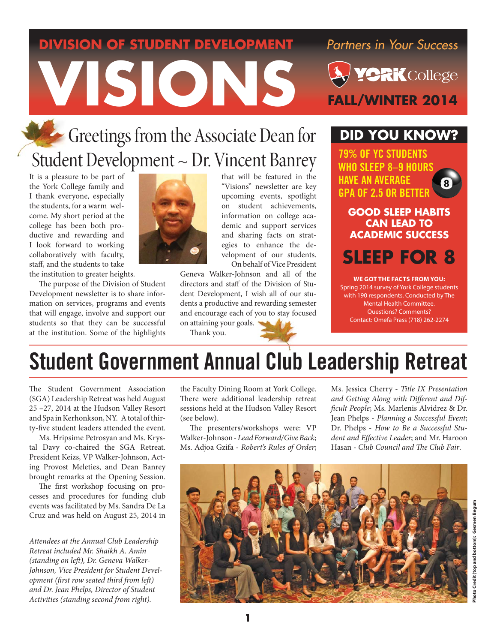# **DIVISION OF STUDENT DEVELOPMENT** Partners in Your Success **VISIONS PYCRK**College

# Greetings from the Associate Dean for Student Development ~ Dr. Vincent Banrey

It is a pleasure to be part of the York College family and I thank everyone, especially the students, for a warm welcome. My short period at the college has been both productive and rewarding and I look forward to working collaboratively with faculty, staff, and the students to take the institution to greater heights.

The purpose of the Division of Student Development newsletter is to share information on services, programs and events that will engage, involve and support our students so that they can be successful at the institution. Some of the highlights



that will be featured in the "Visions" newsletter are key upcoming events, spotlight on student achievements, information on college academic and support services and sharing facts on strategies to enhance the development of our students. On behalf of Vice President

Geneva Walker-Johnson and all of the directors and staff of the Division of Student Development, I wish all of our students a productive and rewarding semester and encourage each of you to stay focused on attaining your goals.

Thank you.

# **DID YOU KNOW?**

79% OF YC STUDENTS WHO SLEEP 8–9 HOURS HAVE AN AVERAGE GPA OF 2.5 OR BETTER

**GOOD SLEEP HABITS CAN LEAD TO ACADEMIC SUCCESS**

**SLEEP FOR 8**

**WE GOT THE FACTS FROM YOU:** Spring 2014 survey of York College students with 190 respondents. Conducted by The Mental Health Committee. Questions? Comments? Contact: Omefa Prass (718) 262-2274

# Student Government Annual Club Leadership Retreat

The Student Government Association (SGA) Leadership Retreat was held August 25 –27, 2014 at the Hudson Valley Resort and Spa in Kerhonkson, NY. A total of thirty-five student leaders attended the event.

Ms. Hripsime Petrosyan and Ms. Krystal Davy co-chaired the SGA Retreat. President Keizs, VP Walker-Johnson, Acting Provost Meleties, and Dean Banrey brought remarks at the Opening Session.

The first workshop focusing on processes and procedures for funding club events was facilitated by Ms. Sandra De La Cruz and was held on August 25, 2014 in

*Attendees at the Annual Club Leadership Retreat included Mr. Shaikh A. Amin*  (standing on left), Dr. Geneva Walker-*Johnson, Vice President for Student Development (first row seated third from left) and Dr. Jean Phelps, Director of Student Activities (standing second from right).* 

the Faculty Dining Room at York College. There were additional leadership retreat sessions held at the Hudson Valley Resort (see below).

The presenters/workshops were: VP Walker-Johnson - *Lead Forward/Give Back*; Ms. Adjoa Gzifa - *Robert's Rules of Order*;

Ms. Jessica Cherry - *Title IX Presentation*  and Getting Along with Different and Dif*fi cult People*; Ms. Marlenis Alvidrez & Dr. Jean Phelps - *Planning a Successful Event*; Dr. Phelps - *How to Be a Successful Stu*dent and Effective Leader; and Mr. Haroon Hasan - *Club Council and The Club Fair*.

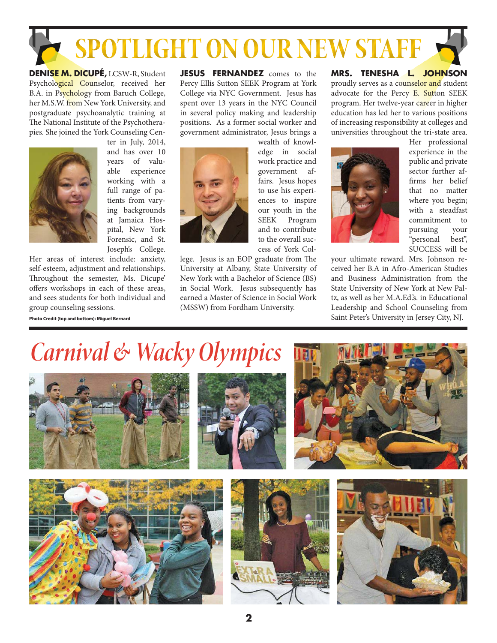# **SPOTLIGHT ON OUR NEW STAFF**

**DENISE M. DICUPÉ,** LCSW-R, Student Psychological Counselor, received her B.A. in Psychology from Baruch College, her M.S.W. from New York University, and postgraduate psychoanalytic training at The National Institute of the Psychotherapies. She joined the York Counseling Cen-



ter in July, 2014, and has over 10 years of valuable experience working with a full range of patients from varying backgrounds at Jamaica Hospital, New York Forensic, and St. Joseph's College.

Her areas of interest include: anxiety, self-esteem, adjustment and relationships. Throughout the semester, Ms. Dicupe' offers workshops in each of these areas, and sees students for both individual and group counseling sessions.

**Photo Credit (top and bottom): Miguel Bernard**

**JESUS FERNANDEZ** comes to the Percy Ellis Sutton SEEK Program at York College via NYC Government. Jesus has spent over 13 years in the NYC Council in several policy making and leadership positions. As a former social worker and government administrator, Jesus brings a



wealth of knowledge in social work practice and government affairs. Jesus hopes to use his experiences to inspire our youth in the SEEK Program and to contribute to the overall success of York Col-

lege. Jesus is an EOP graduate from The University at Albany, State University of New York with a Bachelor of Science (BS) in Social Work. Jesus subsequently has earned a Master of Science in Social Work (MSSW) from Fordham University.

**MRS. TENESHA L. JOHNSON** proudly serves as a counselor and student advocate for the Percy E. Sutton SEEK program. Her twelve-year career in higher education has led her to various positions of increasing responsibility at colleges and universities throughout the tri-state area.



Her professional experience in the public and private sector further affirms her belief that no matter where you begin; with a steadfast commitment to pursuing your "personal best", SUCCESS will be

your ultimate reward. Mrs. Johnson received her B.A in Afro-American Studies and Business Administration from the State University of New York at New Paltz, as well as her M.A.Ed.'s. in Educational Leadership and School Counseling from Saint Peter's University in Jersey City, NJ.

# *Carnival & Wacky Olympics*











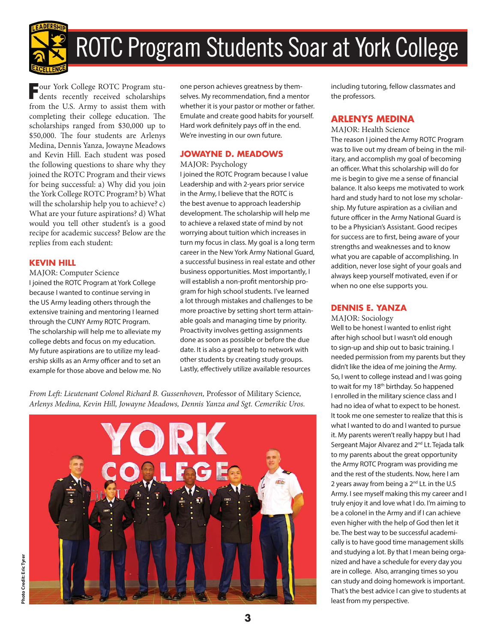

# ROTC Program Students Soar at York College

**F**our York College ROTC Program stu-dents recently received scholarships from the U.S. Army to assist them with completing their college education. The scholarships ranged from \$30,000 up to \$50,000. The four students are Arlenys Medina, Dennis Yanza, Jowayne Meadows and Kevin Hill. Each student was posed the following questions to share why they joined the ROTC Program and their views for being successful: a) Why did you join the York College ROTC Program? b) What will the scholarship help you to achieve? c) What are your future aspirations? d) What would you tell other student's is a good recipe for academic success? Below are the replies from each student:

# **KEVIN HILL**

MAJOR: Computer Science I joined the ROTC Program at York College because I wanted to continue serving in the US Army leading others through the extensive training and mentoring I learned through the CUNY Army ROTC Program. The scholarship will help me to alleviate my college debts and focus on my education. My future aspirations are to utilize my leadership skills as an Army officer and to set an example for those above and below me. No

one person achieves greatness by themselves. My recommendation, find a mentor whether it is your pastor or mother or father. Emulate and create good habits for yourself. Hard work definitely pays off in the end. We're investing in our own future.

# **JOWAYNE D. MEADOWS**

# MAJOR: Psychology

I joined the ROTC Program because I value Leadership and with 2-years prior service in the Army, I believe that the ROTC is the best avenue to approach leadership development. The scholarship will help me to achieve a relaxed state of mind by not worrying about tuition which increases in turn my focus in class. My goal is a long term career in the New York Army National Guard, a successful business in real estate and other business opportunities. Most importantly, I will establish a non-profit mentorship program for high school students. I've learned a lot through mistakes and challenges to be more proactive by setting short term attainable goals and managing time by priority. Proactivity involves getting assignments done as soon as possible or before the due date. It is also a great help to network with other students by creating study groups. Lastly, effectively utilize available resources

*From Left : Lieutenant Colonel Richard B. Gussenhoven,* Professor of Military Science*, Arlenys Medina, Kevin Hill, Jowayne Meadows, Dennis Yanza and Sgt. Cemerikic Uros.*



including tutoring, fellow classmates and the professors.

# **ARLENYS MEDINA**

MAJOR: Health Science The reason I joined the Army ROTC Program was to live out my dream of being in the military, and accomplish my goal of becoming an officer. What this scholarship will do for me is begin to give me a sense of financial balance. It also keeps me motivated to work hard and study hard to not lose my scholarship. My future aspiration as a civilian and future officer in the Army National Guard is to be a Physician's Assistant. Good recipes for success are to first, being aware of your strengths and weaknesses and to know what you are capable of accomplishing. In addition, never lose sight of your goals and always keep yourself motivated, even if or when no one else supports you.

# **DENNIS E. YANZA**

MAJOR: Sociology

Well to be honest I wanted to enlist right after high school but I wasn't old enough to sign-up and ship out to basic training. I needed permission from my parents but they didn't like the idea of me joining the Army. So, I went to college instead and I was going to wait for my 18<sup>th</sup> birthday. So happened I enrolled in the military science class and I had no idea of what to expect to be honest. It took me one semester to realize that this is what I wanted to do and I wanted to pursue it. My parents weren't really happy but I had Sergeant Major Alvarez and 2<sup>nd</sup> Lt. Tejada talk to my parents about the great opportunity the Army ROTC Program was providing me and the rest of the students. Now, here I am 2 years away from being a 2<sup>nd</sup> Lt. in the U.S Army. I see myself making this my career and I truly enjoy it and love what I do. I'm aiming to be a colonel in the Army and if I can achieve even higher with the help of God then let it be. The best way to be successful academically is to have good time management skills and studying a lot. By that I mean being organized and have a schedule for every day you are in college. Also, arranging times so you can study and doing homework is important. That's the best advice I can give to students at least from my perspective.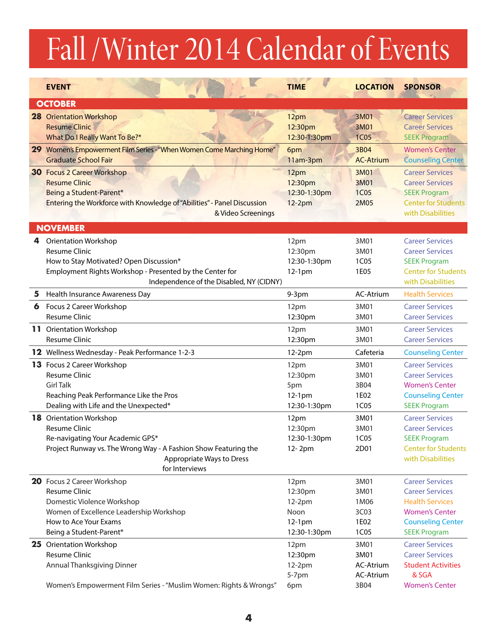# Fall /Winter 2014 Calendar of Events

|   | <b>EVENT</b>                                                                                                                                                                                                 | <b>TIME</b>                                                 | <b>LOCATION</b>                                | <b>SPONSOR</b>                                                                                                                                         |
|---|--------------------------------------------------------------------------------------------------------------------------------------------------------------------------------------------------------------|-------------------------------------------------------------|------------------------------------------------|--------------------------------------------------------------------------------------------------------------------------------------------------------|
|   | <b>OCTOBER</b>                                                                                                                                                                                               |                                                             |                                                |                                                                                                                                                        |
|   | <b>28 Orientation Workshop</b><br><b>Resume Clinic</b><br>What Do I Really Want To Be?*                                                                                                                      | 12pm<br>12:30pm<br>12:30-1:30pm                             | 3M01<br>3M01<br><b>1C05</b>                    | <b>Career Services</b><br><b>Career Services</b><br><b>SEEK Program</b>                                                                                |
|   | 29 Women's Empowerment Film Series - "When Women Come Marching Home"<br><b>Graduate School Fair</b>                                                                                                          | 6pm<br>11am-3pm                                             | 3B04<br><b>AC-Atrium</b>                       | <b>Women's Center</b><br><b>Counseling Center</b>                                                                                                      |
|   | <b>30 Focus 2 Career Workshop</b><br><b>Resume Clinic</b><br>Being a Student-Parent*<br>Entering the Workforce with Knowledge of "Abilities" - Panel Discussion<br>& Video Screenings                        | 12pm<br>12:30pm<br>12:30-1:30pm<br>$12-2pm$                 | 3M01<br>3M01<br><b>1C05</b><br>2M05            | <b>Career Services</b><br><b>Career Services</b><br><b>SEEK Program</b><br><b>Center for Students</b><br>with Disabilities                             |
|   | <b>NOVEMBER</b>                                                                                                                                                                                              |                                                             |                                                |                                                                                                                                                        |
|   | 4 Orientation Workshop<br><b>Resume Clinic</b><br>How to Stay Motivated? Open Discussion*<br>Employment Rights Workshop - Presented by the Center for<br>Independence of the Disabled, NY (CIDNY)            | 12pm<br>12:30pm<br>12:30-1:30pm<br>$12-1pm$                 | 3M01<br>3M01<br>1C05<br>1E05                   | <b>Career Services</b><br><b>Career Services</b><br><b>SEEK Program</b><br><b>Center for Students</b><br>with Disabilities                             |
| 5 | Health Insurance Awareness Day                                                                                                                                                                               | $9-3$ pm                                                    | AC-Atrium                                      | <b>Health Services</b>                                                                                                                                 |
| 6 | Focus 2 Career Workshop<br><b>Resume Clinic</b>                                                                                                                                                              | 12pm<br>12:30pm                                             | 3M01<br>3M01                                   | <b>Career Services</b><br><b>Career Services</b>                                                                                                       |
|   | <b>11</b> Orientation Workshop<br><b>Resume Clinic</b>                                                                                                                                                       | 12pm<br>12:30pm                                             | 3M01<br>3M01                                   | <b>Career Services</b><br><b>Career Services</b>                                                                                                       |
|   | 12 Wellness Wednesday - Peak Performance 1-2-3                                                                                                                                                               | 12-2pm                                                      | Cafeteria                                      | <b>Counseling Center</b>                                                                                                                               |
|   | 13 Focus 2 Career Workshop<br>Resume Clinic<br><b>Girl Talk</b><br>Reaching Peak Performance Like the Pros<br>Dealing with Life and the Unexpected*                                                          | 12pm<br>12:30pm<br>5pm<br>$12-1pm$<br>12:30-1:30pm          | 3M01<br>3M01<br>3B04<br>1E02<br>1C05           | <b>Career Services</b><br><b>Career Services</b><br><b>Women's Center</b><br><b>Counseling Center</b><br><b>SEEK Program</b>                           |
|   | <b>18</b> Orientation Workshop<br><b>Resume Clinic</b><br>Re-navigating Your Academic GPS*<br>Project Runway vs. The Wrong Way - A Fashion Show Featuring the<br>Appropriate Ways to Dress<br>for Interviews | 12pm<br>12:30pm<br>12:30-1:30pm<br>12-2pm                   | 3M01<br>3M01<br>1C05<br>2D01                   | <b>Career Services</b><br><b>Career Services</b><br><b>SEEK Program</b><br><b>Center for Students</b><br>with Disabilities                             |
|   | 20 Focus 2 Career Workshop<br><b>Resume Clinic</b><br>Domestic Violence Workshop<br>Women of Excellence Leadership Workshop<br>How to Ace Your Exams<br>Being a Student-Parent*                              | 12pm<br>12:30pm<br>12-2pm<br>Noon<br>12-1pm<br>12:30-1:30pm | 3M01<br>3M01<br>1M06<br>3C03<br>1E02<br>1C05   | <b>Career Services</b><br><b>Career Services</b><br><b>Health Services</b><br><b>Women's Center</b><br><b>Counseling Center</b><br><b>SEEK Program</b> |
|   | <b>25</b> Orientation Workshop<br><b>Resume Clinic</b><br>Annual Thanksgiving Dinner<br>Women's Empowerment Film Series - "Muslim Women: Rights & Wrongs"                                                    | 12pm<br>12:30pm<br>12-2pm<br>5-7pm<br>6pm                   | 3M01<br>3M01<br>AC-Atrium<br>AC-Atrium<br>3B04 | <b>Career Services</b><br><b>Career Services</b><br><b>Student Activities</b><br>& SGA<br><b>Women's Center</b>                                        |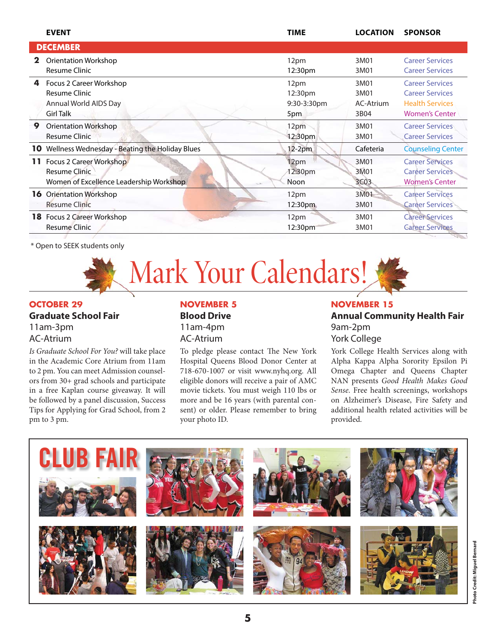|                 | <b>EVENT</b>                                   | <b>TIME</b> | <b>LOCATION</b>  | <b>SPONSOR</b>           |  |  |
|-----------------|------------------------------------------------|-------------|------------------|--------------------------|--|--|
| <b>DECEMBER</b> |                                                |             |                  |                          |  |  |
| 2               | <b>Orientation Workshop</b>                    | 12pm        | 3M01             | <b>Career Services</b>   |  |  |
|                 | <b>Resume Clinic</b>                           | 12:30pm     | 3M01             | <b>Career Services</b>   |  |  |
| 4               | Focus 2 Career Workshop                        | 12pm        | 3M01             | <b>Career Services</b>   |  |  |
|                 | Resume Clinic                                  | 12:30pm     | 3M01             | <b>Career Services</b>   |  |  |
|                 | Annual World AIDS Day                          | 9:30-3:30pm | AC-Atrium        | <b>Health Services</b>   |  |  |
|                 | <b>Girl Talk</b>                               | 5pm         | 3B04             | <b>Women's Center</b>    |  |  |
| 9               | Orientation Workshop                           | 12pm        | 3M01             | <b>Career Services</b>   |  |  |
|                 | <b>Resume Clinic</b>                           | 12:30pm     | 3M01             | <b>Career Services</b>   |  |  |
| 10              | Wellness Wednesday - Beating the Holiday Blues | $12-2pm$    | Cafeteria        | <b>Counseling Center</b> |  |  |
| 11.             | Focus 2 Career Workshop                        | 12pm        | 3M01             | <b>Career Services</b>   |  |  |
|                 | Resume Clinic                                  | 12:30pm     | 3M01             | <b>Career Services</b>   |  |  |
|                 | Women of Excellence Leadership Workshop        | Noon        | 3C <sub>03</sub> | <b>Women's Center</b>    |  |  |
| 16              | <b>Orientation Workshop</b>                    | 12pm        | 3M01             | <b>Career Services</b>   |  |  |
|                 | <b>Resume Clinic</b>                           | 12:30pm     | 3M01             | <b>Career Services</b>   |  |  |
| 18              | Focus 2 Career Workshop                        | 12pm        | 3M01             | <b>Career Services</b>   |  |  |
|                 | <b>Resume Clinic</b>                           | 12:30pm     | 3M01             | <b>Career Services</b>   |  |  |

\* Open to SEEK students only

# Mark Your Calendars!

# **OCTOBER 29**

**Graduate School Fair** 11am-3pm AC-Atrium

*Is Graduate School For You?* will take place in the Academic Core Atrium from 11am to 2 pm. You can meet Admission counselors from 30+ grad schools and participate in a free Kaplan course giveaway. It will be followed by a panel discussion, Success Tips for Applying for Grad School, from 2 pm to 3 pm.

# **Blood Drive**

11am-4pm AC-Atrium

To pledge please contact The New York Hospital Queens Blood Donor Center at 718-670-1007 or visit www.nyhq.org. All eligible donors will receive a pair of AMC movie tickets. You must weigh 110 lbs or more and be 16 years (with parental consent) or older. Please remember to bring your photo ID.

### **NOVEMBER 5 NOVEMBER 5 NOVEMBER 15**

# **Annual Community Health Fair** 9am-2pm York College

York College Health Services along with Alpha Kappa Alpha Sorority Epsilon Pi Omega Chapter and Queens Chapter NAN presents *Good Health Makes Good Sense*. Free health screenings, workshops on Alzheimer's Disease, Fire Safety and additional health related activities will be provided.

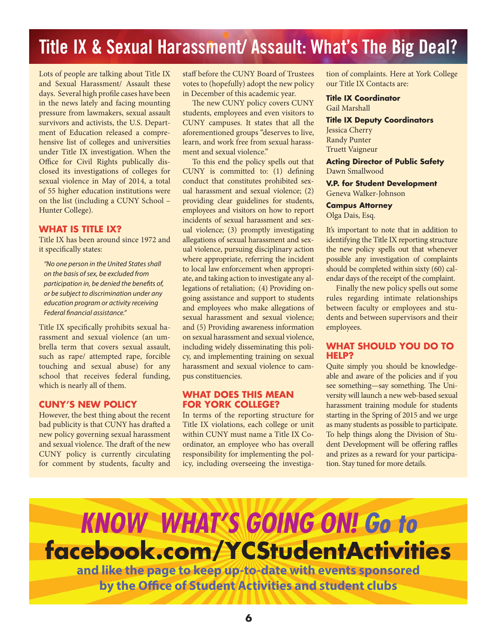# Title IX & Sexual Harassment/ Assault: What's The Big Deal?

Lots of people are talking about Title IX and Sexual Harassment/ Assault these days. Several high profile cases have been in the news lately and facing mounting pressure from lawmakers, sexual assault survivors and activists, the U.S. Department of Education released a comprehensive list of colleges and universities under Title IX investigation. When the Office for Civil Rights publically disclosed its investigations of colleges for sexual violence in May of 2014, a total of 55 higher education institutions were on the list (including a CUNY School – Hunter College).

# **WHAT IS TITLE IX?**

Title IX has been around since 1972 and it specifically states:

"No one person in the United States shall on the basis of sex, be excluded from participation in, be denied the benefits of, or be subject to discrimination under any education program or activity receiving Federal financial assistance."

Title IX specifically prohibits sexual harassment and sexual violence (an umbrella term that covers sexual assault, such as rape/ attempted rape, forcible touching and sexual abuse) for any school that receives federal funding, which is nearly all of them.

# **CUNY'S NEW POLICY**

However, the best thing about the recent bad publicity is that CUNY has drafted a new policy governing sexual harassment and sexual violence. The draft of the new CUNY policy is currently circulating for comment by students, faculty and

staff before the CUNY Board of Trustees votes to (hopefully) adopt the new policy in December of this academic year.

The new CUNY policy covers CUNY students, employees and even visitors to CUNY campuses. It states that all the aforementioned groups "deserves to live, learn, and work free from sexual harassment and sexual violence."

To this end the policy spells out that CUNY is committed to:  $(1)$  defining conduct that constitutes prohibited sexual harassment and sexual violence; (2) providing clear guidelines for students, employees and visitors on how to report incidents of sexual harassment and sexual violence; (3) promptly investigating allegations of sexual harassment and sexual violence, pursuing disciplinary action where appropriate, referring the incident to local law enforcement when appropriate, and taking action to investigate any allegations of retaliation; (4) Providing ongoing assistance and support to students and employees who make allegations of sexual harassment and sexual violence; and (5) Providing awareness information on sexual harassment and sexual violence, including widely disseminating this policy, and implementing training on sexual harassment and sexual violence to campus constituencies.

# **WHAT DOES THIS MEAN FOR YORK COLLEGE?**

In terms of the reporting structure for Title IX violations, each college or unit within CUNY must name a Title IX Coordinator, an employee who has overall responsibility for implementing the policy, including overseeing the investigation of complaints. Here at York College our Title IX Contacts are:

# **Title IX Coordinator**

Gail Marshall

**Title IX Deputy Coordinators** Jessica Cherry Randy Punter Truett Vaigneur

**Acting Director of Public Safety** Dawn Smallwood

**V.P. for Student Development** Geneva Walker-Johnson

## **Campus Attorney**

Olga Dais, Esq.

It's important to note that in addition to identifying the Title IX reporting structure the new policy spells out that whenever possible any investigation of complaints should be completed within sixty (60) calendar days of the receipt of the complaint.

Finally the new policy spells out some rules regarding intimate relationships between faculty or employees and students and between supervisors and their employees.

# **WHAT SHOULD YOU DO TO HELP?**

Quite simply you should be knowledgeable and aware of the policies and if you see something—say something. The University will launch a new web-based sexual harassment training module for students starting in the Spring of 2015 and we urge as many students as possible to participate. To help things along the Division of Student Development will be offering raffles and prizes as a reward for your participation. Stay tuned for more details.

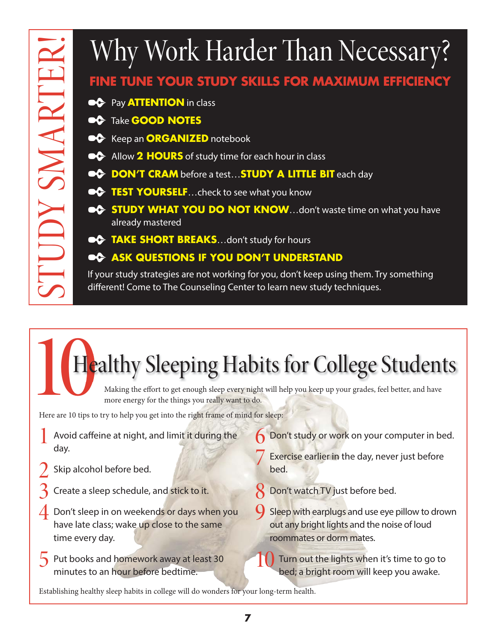# **FINE TUNE YOUR STUDY SKILLS FOR MAXIMUM EFFICIENCY**

- ✒ Pay **ATTENTION** in class
- ✒ Take **GOOD NOTES**
- **EC** Keep an **ORGANIZED** notebook
- ✒ Allow **2 HOURS** of study time for each hour in class
- **EXAMPLE BIT CRAM** before a test... **STUDY A LITTLE BIT** each day
- **TEST YOURSELF** ... check to see what you know
- **EXTUDY WHAT YOU DO NOT KNOW**...don't waste time on what you have already mastered
- **•C** TAKE SHORT BREAKS...don't study for hours

# **OC ASK QUESTIONS IF YOU DON'T UNDERSTAND**

If your study strategies are not working for you, don't keep using them. Try something different! Come to The Counseling Center to learn new study techniques.

# Here are 10 tips to 1 Healthy Sleeping Habits for College Students ESTABLISH SIGNER THAT THAT SIGNER THE TIME TO THE TIME TO THE TIME SONGT STABLES FOR MAXIMUM EFFICIENCY<br>
THE TUNE YOUR STUDY SIGNER FOR MAXIMUM EFFICIENCY<br>
THE TUNE YOUR STABLE PROPORTION INTO THE READ FOR COLLECTED TO THE

Making the effort to get enough sleep every night will help you keep up your grades, feel better, and have more energy for the things you really want to do.

Here are 10 tips to try to help you get into the right frame of mind for sleep:

- Avoid caffeine at night, and limit it during the day.
- Skip alcohol before bed.
- Create a sleep schedule, and stick to it.
- Don't sleep in on weekends or days when you have late class; wake up close to the same time every day.
- **5** Put books and homework away at least 30 minutes to an hour before bedtime.
- Don't study or work on your computer in bed.
- Exercise earlier in the day, never just before bed.
- Don't watch TV just before bed.
- Sleep with earplugs and use eye pillow to drown out any bright lights and the noise of loud roommates or dorm mates.
- **10 Turn out the lights when it's time to go to** bed; a bright room will keep you awake.